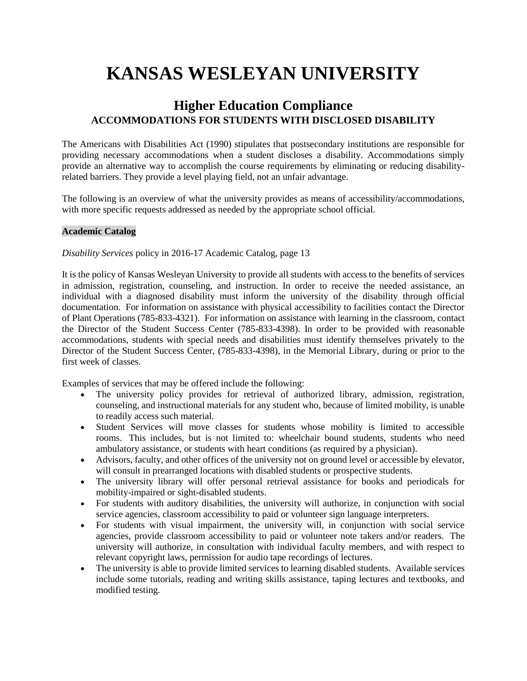# **KANSAS WESLEYAN UNIVERSITY**

# **Higher Education Compliance ACCOMMODATIONS FOR STUDENTS WITH DISCLOSED DISABILITY**

The Americans with Disabilities Act (1990) stipulates that postsecondary institutions are responsible for providing necessary accommodations when a student discloses a disability. Accommodations simply provide an alternative way to accomplish the course requirements by eliminating or reducing disabilityrelated barriers. They provide a level playing field, not an unfair advantage.

The following is an overview of what the university provides as means of accessibility/accommodations, with more specific requests addressed as needed by the appropriate school official.

# **Academic Catalog**

*Disability Services* policy in 2016-17 Academic Catalog, page 13

It is the policy of Kansas Wesleyan University to provide all students with access to the benefits of services in admission, registration, counseling, and instruction. In order to receive the needed assistance, an individual with a diagnosed disability must inform the university of the disability through official documentation. For information on assistance with physical accessibility to facilities contact the Director of Plant Operations (785-833-4321). For information on assistance with learning in the classroom, contact the Director of the Student Success Center (785-833-4398). In order to be provided with reasonable accommodations, students with special needs and disabilities must identify themselves privately to the Director of the Student Success Center, (785-833-4398), in the Memorial Library, during or prior to the first week of classes.

Examples of services that may be offered include the following:

- The university policy provides for retrieval of authorized library, admission, registration, counseling, and instructional materials for any student who, because of limited mobility, is unable to readily access such material.
- Student Services will move classes for students whose mobility is limited to accessible rooms. This includes, but is not limited to: wheelchair bound students, students who need ambulatory assistance, or students with heart conditions (as required by a physician).
- Advisors, faculty, and other offices of the university not on ground level or accessible by elevator, will consult in prearranged locations with disabled students or prospective students.
- The university library will offer personal retrieval assistance for books and periodicals for mobility-impaired or sight-disabled students.
- For students with auditory disabilities, the university will authorize, in conjunction with social service agencies, classroom accessibility to paid or volunteer sign language interpreters.
- For students with visual impairment, the university will, in conjunction with social service agencies, provide classroom accessibility to paid or volunteer note takers and/or readers. The university will authorize, in consultation with individual faculty members, and with respect to relevant copyright laws, permission for audio tape recordings of lectures.
- The university is able to provide limited services to learning disabled students. Available services include some tutorials, reading and writing skills assistance, taping lectures and textbooks, and modified testing.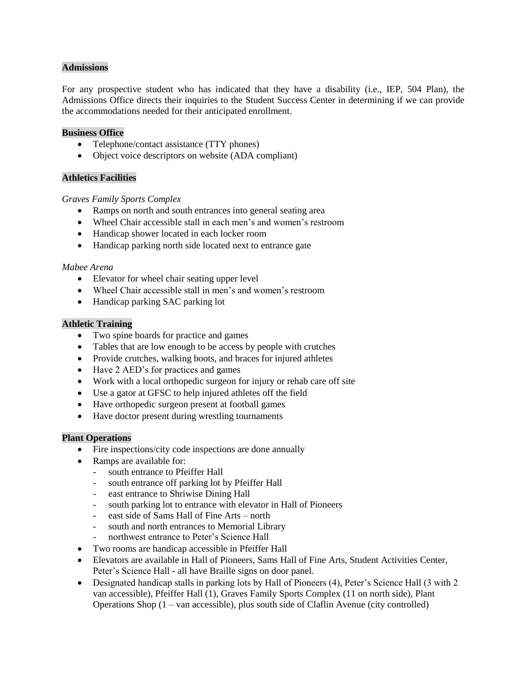# **Admissions**

For any prospective student who has indicated that they have a disability (i.e., IEP, 504 Plan), the Admissions Office directs their inquiries to the Student Success Center in determining if we can provide the accommodations needed for their anticipated enrollment.

## **Business Office**

- Telephone/contact assistance (TTY phones)
- Object voice descriptors on website (ADA compliant)

# **Athletics Facilities**

#### *Graves Family Sports Complex*

- Ramps on north and south entrances into general seating area
- Wheel Chair accessible stall in each men's and women's restroom
- Handicap shower located in each locker room
- Handicap parking north side located next to entrance gate

#### *Mabee Arena*

- Elevator for wheel chair seating upper level
- Wheel Chair accessible stall in men's and women's restroom
- Handicap parking SAC parking lot

# **Athletic Training**

- Two spine boards for practice and games
- Tables that are low enough to be access by people with crutches
- Provide crutches, walking boots, and braces for injured athletes
- Have 2 AED's for practices and games
- Work with a local orthopedic surgeon for injury or rehab care off site
- Use a gator at GFSC to help injured athletes off the field
- Have orthopedic surgeon present at football games
- Have doctor present during wrestling tournaments

#### **Plant Operations**

- Fire inspections/city code inspections are done annually
- Ramps are available for:
	- south entrance to Pfeiffer Hall
	- south entrance off parking lot by Pfeiffer Hall
	- east entrance to Shriwise Dining Hall
	- south parking lot to entrance with elevator in Hall of Pioneers
	- east side of Sams Hall of Fine Arts north
	- south and north entrances to Memorial Library
	- northwest entrance to Peter's Science Hall
- Two rooms are handicap accessible in Pfeiffer Hall
- Elevators are available in Hall of Pioneers, Sams Hall of Fine Arts, Student Activities Center, Peter's Science Hall - all have Braille signs on door panel.
- Designated handicap stalls in parking lots by Hall of Pioneers (4), Peter's Science Hall (3 with 2) van accessible), Pfeiffer Hall (1), Graves Family Sports Complex (11 on north side), Plant Operations Shop (1 – van accessible), plus south side of Claflin Avenue (city controlled)